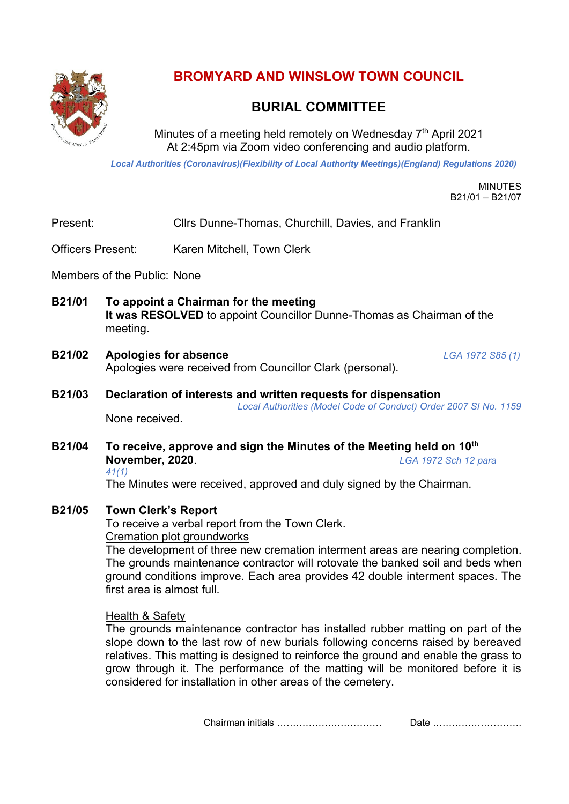

**BROMYARD AND WINSLOW TOWN COUNCIL**

# **BURIAL COMMITTEE**

Minutes of a meeting held remotely on Wednesday 7<sup>th</sup> April 2021 At 2:45pm via Zoom video conferencing and audio platform.

*Local Authorities (Coronavirus)(Flexibility of Local Authority Meetings)(England) Regulations 2020)*

MINUTES B21/01 – B21/07

Present: Cllrs Dunne-Thomas, Churchill, Davies, and Franklin

Officers Present: Karen Mitchell, Town Clerk

Members of the Public: None

- **B21/01 To appoint a Chairman for the meeting It was RESOLVED** to appoint Councillor Dunne-Thomas as Chairman of the meeting.
- **B21/02 Apologies for absence** *LGA 1972 S85 (1)* Apologies were received from Councillor Clark (personal).
- **B21/03 Declaration of interests and written requests for dispensation** *Local Authorities (Model Code of Conduct) Order 2007 SI No. 1159* None received.
- **B21/04 To receive, approve and sign the Minutes of the Meeting held on 10th November, 2020**. *LGA 1972 Sch 12 para*

*41(1)*

The Minutes were received, approved and duly signed by the Chairman.

## **B21/05 Town Clerk's Report**

To receive a verbal report from the Town Clerk. Cremation plot groundworks

The development of three new cremation interment areas are nearing completion. The grounds maintenance contractor will rotovate the banked soil and beds when ground conditions improve. Each area provides 42 double interment spaces. The first area is almost full.

#### Health & Safety

The grounds maintenance contractor has installed rubber matting on part of the slope down to the last row of new burials following concerns raised by bereaved relatives. This matting is designed to reinforce the ground and enable the grass to grow through it. The performance of the matting will be monitored before it is considered for installation in other areas of the cemetery.

Chairman initials …………………………… Date ……………………….